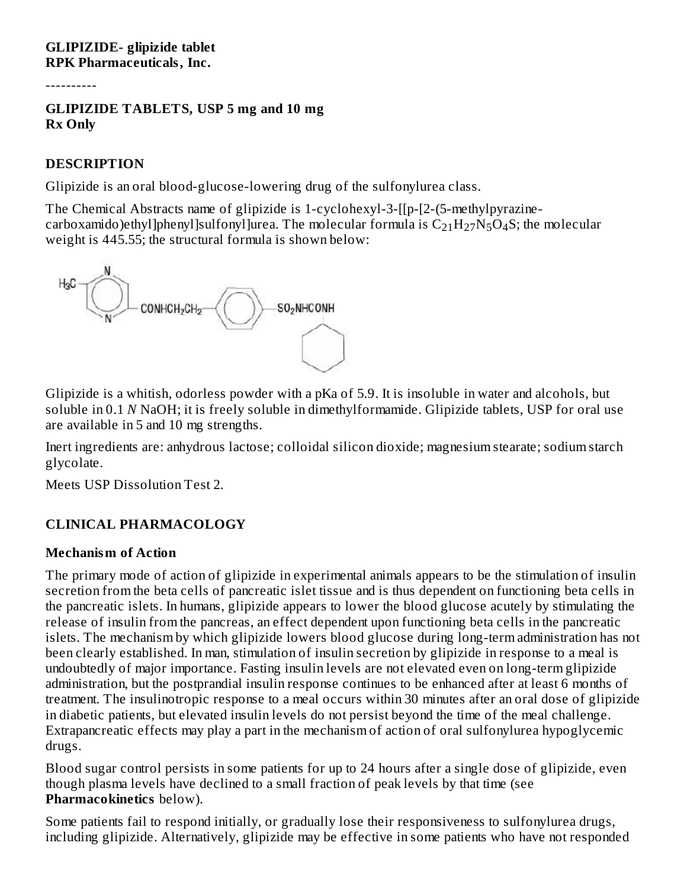#### **GLIPIZIDE- glipizide tablet RPK Pharmaceuticals, Inc.**

----------

#### **GLIPIZIDE TABLETS, USP 5 mg and 10 mg Rx Only**

#### **DESCRIPTION**

Glipizide is an oral blood-glucose-lowering drug of the sulfonylurea class.

The Chemical Abstracts name of glipizide is 1-cyclohexyl-3-[[p-[2-(5-methylpyrazinecarboxamido)ethyl]phenyl]sulfonyl]urea. The molecular formula is  $\rm{C_{21}H_{27}N_5O_4S}$ ; the molecular weight is 445.55; the structural formula is shown below:



Glipizide is a whitish, odorless powder with a pKa of 5.9. It is insoluble in water and alcohols, but soluble in 0.1 *N* NaOH; it is freely soluble in dimethylformamide. Glipizide tablets, USP for oral use are available in 5 and 10 mg strengths.

Inert ingredients are: anhydrous lactose; colloidal silicon dioxide; magnesium stearate; sodium starch glycolate.

Meets USP Dissolution Test 2.

# **CLINICAL PHARMACOLOGY**

#### **Mechanism of Action**

The primary mode of action of glipizide in experimental animals appears to be the stimulation of insulin secretion from the beta cells of pancreatic islet tissue and is thus dependent on functioning beta cells in the pancreatic islets. In humans, glipizide appears to lower the blood glucose acutely by stimulating the release of insulin from the pancreas, an effect dependent upon functioning beta cells in the pancreatic islets. The mechanism by which glipizide lowers blood glucose during long-term administration has not been clearly established. In man, stimulation of insulin secretion by glipizide in response to a meal is undoubtedly of major importance. Fasting insulin levels are not elevated even on long-term glipizide administration, but the postprandial insulin response continues to be enhanced after at least 6 months of treatment. The insulinotropic response to a meal occurs within 30 minutes after an oral dose of glipizide in diabetic patients, but elevated insulin levels do not persist beyond the time of the meal challenge. Extrapancreatic effects may play a part in the mechanism of action of oral sulfonylurea hypoglycemic drugs.

Blood sugar control persists in some patients for up to 24 hours after a single dose of glipizide, even though plasma levels have declined to a small fraction of peak levels by that time (see **Pharmacokinetics** below).

Some patients fail to respond initially, or gradually lose their responsiveness to sulfonylurea drugs, including glipizide. Alternatively, glipizide may be effective in some patients who have not responded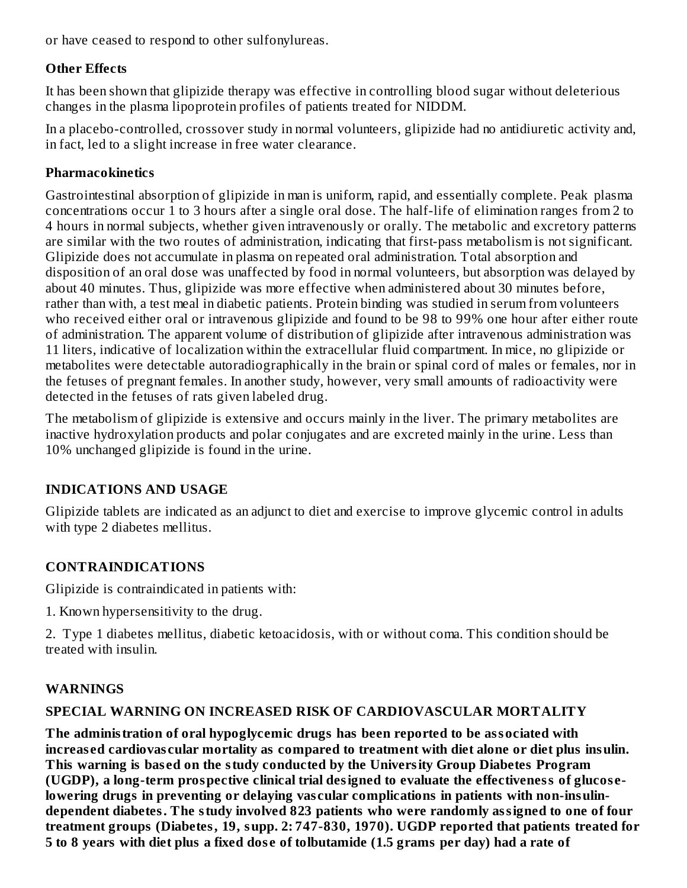or have ceased to respond to other sulfonylureas.

# **Other Effects**

It has been shown that glipizide therapy was effective in controlling blood sugar without deleterious changes in the plasma lipoprotein profiles of patients treated for NIDDM.

In a placebo-controlled, crossover study in normal volunteers, glipizide had no antidiuretic activity and, in fact, led to a slight increase in free water clearance.

# **Pharmacokinetics**

Gastrointestinal absorption of glipizide in man is uniform, rapid, and essentially complete. Peak plasma concentrations occur 1 to 3 hours after a single oral dose. The half-life of elimination ranges from 2 to 4 hours in normal subjects, whether given intravenously or orally. The metabolic and excretory patterns are similar with the two routes of administration, indicating that first-pass metabolism is not significant. Glipizide does not accumulate in plasma on repeated oral administration. Total absorption and disposition of an oral dose was unaffected by food in normal volunteers, but absorption was delayed by about 40 minutes. Thus, glipizide was more effective when administered about 30 minutes before, rather than with, a test meal in diabetic patients. Protein binding was studied in serum from volunteers who received either oral or intravenous glipizide and found to be 98 to 99% one hour after either route of administration. The apparent volume of distribution of glipizide after intravenous administration was 11 liters, indicative of localization within the extracellular fluid compartment. In mice, no glipizide or metabolites were detectable autoradiographically in the brain or spinal cord of males or females, nor in the fetuses of pregnant females. In another study, however, very small amounts of radioactivity were detected in the fetuses of rats given labeled drug.

The metabolism of glipizide is extensive and occurs mainly in the liver. The primary metabolites are inactive hydroxylation products and polar conjugates and are excreted mainly in the urine. Less than 10% unchanged glipizide is found in the urine.

# **INDICATIONS AND USAGE**

Glipizide tablets are indicated as an adjunct to diet and exercise to improve glycemic control in adults with type 2 diabetes mellitus.

# **CONTRAINDICATIONS**

Glipizide is contraindicated in patients with:

1. Known hypersensitivity to the drug.

2. Type 1 diabetes mellitus, diabetic ketoacidosis, with or without coma. This condition should be treated with insulin.

# **WARNINGS**

# **SPECIAL WARNING ON INCREASED RISK OF CARDIOVASCULAR MORTALITY**

**The administration of oral hypoglycemic drugs has been reported to be associated with increas ed cardiovas cular mortality as compared to treatment with diet alone or diet plus insulin. This warning is bas ed on the study conducted by the University Group Diabetes Program (UGDP), a long-term prospective clinical trial designed to evaluate the effectiveness of glucos elowering drugs in preventing or delaying vas cular complications in patients with non-insulindependent diabetes. The study involved 823 patients who were randomly assigned to one of four treatment groups (Diabetes, 19, supp. 2: 747-830, 1970). UGDP reported that patients treated for** 5 to 8 years with diet plus a fixed dose of tolbutamide (1.5 grams per day) had a rate of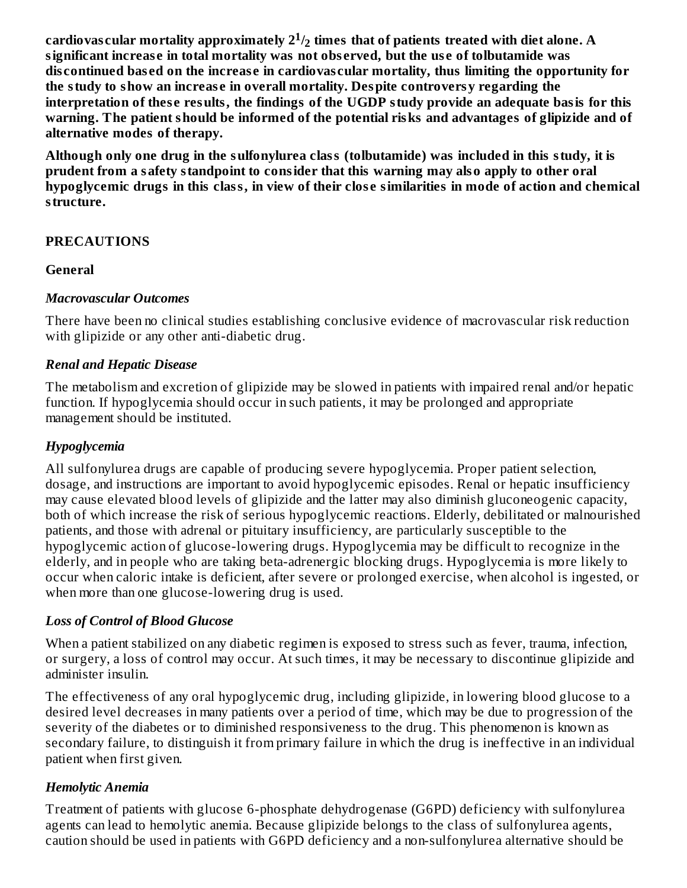**cardiovas cular mortality approximately 2 / times that of patients treated with diet alone. A 1 2significant increas e in total mortality was not obs erved, but the us e of tolbutamide was dis continued bas ed on the increas e in cardiovas cular mortality, thus limiting the opportunity for the study to show an increas e in overall mortality. Despite controversy regarding the interpretation of thes e results, the findings of the UGDP study provide an adequate basis for this warning. The patient should be informed of the potential risks and advantages of glipizide and of alternative modes of therapy.**

**Although only one drug in the sulfonylurea class (tolbutamide) was included in this study, it is prudent from a safety standpoint to consider that this warning may also apply to other oral** hypoglycemic drugs in this class, in view of their close similarities in mode of action and chemical **structure.**

#### **PRECAUTIONS**

#### **General**

#### *Macrovascular Outcomes*

There have been no clinical studies establishing conclusive evidence of macrovascular risk reduction with glipizide or any other anti-diabetic drug.

#### *Renal and Hepatic Disease*

The metabolism and excretion of glipizide may be slowed in patients with impaired renal and/or hepatic function. If hypoglycemia should occur in such patients, it may be prolonged and appropriate management should be instituted.

## *Hypoglycemia*

All sulfonylurea drugs are capable of producing severe hypoglycemia. Proper patient selection, dosage, and instructions are important to avoid hypoglycemic episodes. Renal or hepatic insufficiency may cause elevated blood levels of glipizide and the latter may also diminish gluconeogenic capacity, both of which increase the risk of serious hypoglycemic reactions. Elderly, debilitated or malnourished patients, and those with adrenal or pituitary insufficiency, are particularly susceptible to the hypoglycemic action of glucose-lowering drugs. Hypoglycemia may be difficult to recognize in the elderly, and in people who are taking beta-adrenergic blocking drugs. Hypoglycemia is more likely to occur when caloric intake is deficient, after severe or prolonged exercise, when alcohol is ingested, or when more than one glucose-lowering drug is used.

#### *Loss of Control of Blood Glucose*

When a patient stabilized on any diabetic regimen is exposed to stress such as fever, trauma, infection, or surgery, a loss of control may occur. At such times, it may be necessary to discontinue glipizide and administer insulin.

The effectiveness of any oral hypoglycemic drug, including glipizide, in lowering blood glucose to a desired level decreases in many patients over a period of time, which may be due to progression of the severity of the diabetes or to diminished responsiveness to the drug. This phenomenon is known as secondary failure, to distinguish it from primary failure in which the drug is ineffective in an individual patient when first given.

## *Hemolytic Anemia*

Treatment of patients with glucose 6-phosphate dehydrogenase (G6PD) deficiency with sulfonylurea agents can lead to hemolytic anemia. Because glipizide belongs to the class of sulfonylurea agents, caution should be used in patients with G6PD deficiency and a non-sulfonylurea alternative should be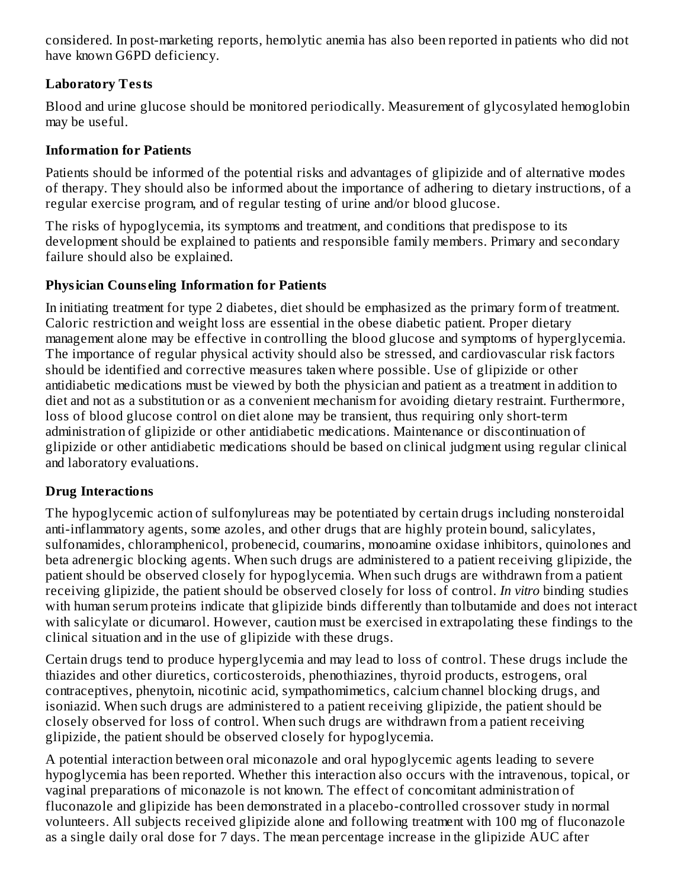considered. In post-marketing reports, hemolytic anemia has also been reported in patients who did not have known G6PD deficiency.

# **Laboratory Tests**

Blood and urine glucose should be monitored periodically. Measurement of glycosylated hemoglobin may be useful.

# **Information for Patients**

Patients should be informed of the potential risks and advantages of glipizide and of alternative modes of therapy. They should also be informed about the importance of adhering to dietary instructions, of a regular exercise program, and of regular testing of urine and/or blood glucose.

The risks of hypoglycemia, its symptoms and treatment, and conditions that predispose to its development should be explained to patients and responsible family members. Primary and secondary failure should also be explained.

# **Physician Couns eling Information for Patients**

In initiating treatment for type 2 diabetes, diet should be emphasized as the primary form of treatment. Caloric restriction and weight loss are essential in the obese diabetic patient. Proper dietary management alone may be effective in controlling the blood glucose and symptoms of hyperglycemia. The importance of regular physical activity should also be stressed, and cardiovascular risk factors should be identified and corrective measures taken where possible. Use of glipizide or other antidiabetic medications must be viewed by both the physician and patient as a treatment in addition to diet and not as a substitution or as a convenient mechanism for avoiding dietary restraint. Furthermore, loss of blood glucose control on diet alone may be transient, thus requiring only short-term administration of glipizide or other antidiabetic medications. Maintenance or discontinuation of glipizide or other antidiabetic medications should be based on clinical judgment using regular clinical and laboratory evaluations.

# **Drug Interactions**

The hypoglycemic action of sulfonylureas may be potentiated by certain drugs including nonsteroidal anti-inflammatory agents, some azoles, and other drugs that are highly protein bound, salicylates, sulfonamides, chloramphenicol, probenecid, coumarins, monoamine oxidase inhibitors, quinolones and beta adrenergic blocking agents. When such drugs are administered to a patient receiving glipizide, the patient should be observed closely for hypoglycemia. When such drugs are withdrawn from a patient receiving glipizide, the patient should be observed closely for loss of control. *In vitro* binding studies with human serum proteins indicate that glipizide binds differently than tolbutamide and does not interact with salicylate or dicumarol. However, caution must be exercised in extrapolating these findings to the clinical situation and in the use of glipizide with these drugs.

Certain drugs tend to produce hyperglycemia and may lead to loss of control. These drugs include the thiazides and other diuretics, corticosteroids, phenothiazines, thyroid products, estrogens, oral contraceptives, phenytoin, nicotinic acid, sympathomimetics, calcium channel blocking drugs, and isoniazid. When such drugs are administered to a patient receiving glipizide, the patient should be closely observed for loss of control. When such drugs are withdrawn from a patient receiving glipizide, the patient should be observed closely for hypoglycemia.

A potential interaction between oral miconazole and oral hypoglycemic agents leading to severe hypoglycemia has been reported. Whether this interaction also occurs with the intravenous, topical, or vaginal preparations of miconazole is not known. The effect of concomitant administration of fluconazole and glipizide has been demonstrated in a placebo-controlled crossover study in normal volunteers. All subjects received glipizide alone and following treatment with 100 mg of fluconazole as a single daily oral dose for 7 days. The mean percentage increase in the glipizide AUC after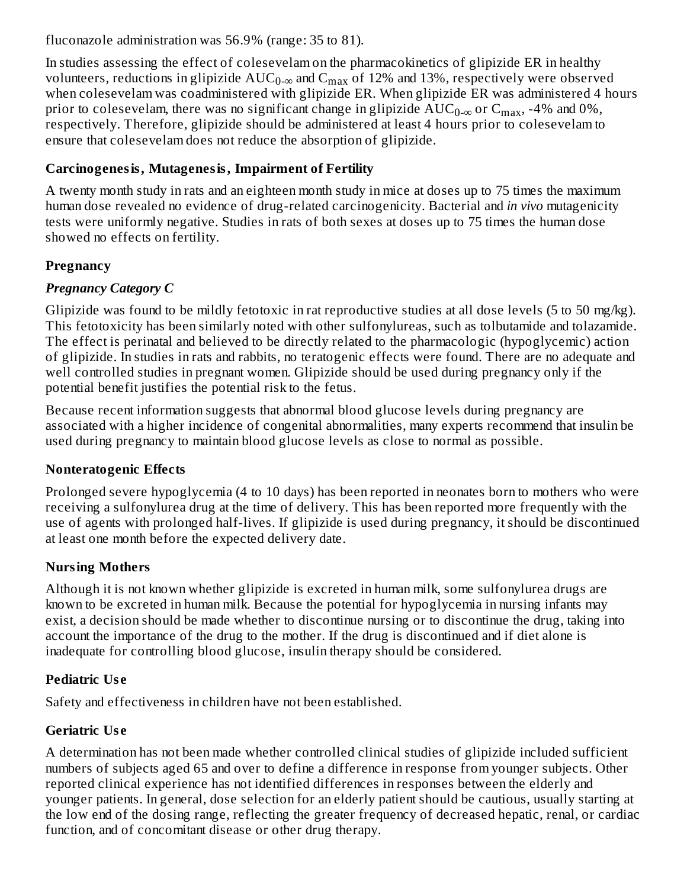fluconazole administration was 56.9% (range: 35 to 81).

In studies assessing the effect of colesevelam on the pharmacokinetics of glipizide ER in healthy volunteers, reductions in glipizide  $\mathrm{AUC_{0-\infty}}$  and  $\mathrm{C_{max}}$  of 12% and 13%, respectively were observed when colesevelam was coadministered with glipizide ER. When glipizide ER was administered 4 hours prior to colesevelam, there was no significant change in glipizide  $\mathrm{AUC}_{0-\infty}$  or  $\mathrm{C_{max}}$ , -4% and 0%, respectively. Therefore, glipizide should be administered at least 4 hours prior to colesevelam to ensure that colesevelam does not reduce the absorption of glipizide.

# **Carcinogenesis, Mutagenesis, Impairment of Fertility**

A twenty month study in rats and an eighteen month study in mice at doses up to 75 times the maximum human dose revealed no evidence of drug-related carcinogenicity. Bacterial and *in vivo* mutagenicity tests were uniformly negative. Studies in rats of both sexes at doses up to 75 times the human dose showed no effects on fertility.

# **Pregnancy**

# *Pregnancy Category C*

Glipizide was found to be mildly fetotoxic in rat reproductive studies at all dose levels (5 to 50 mg/kg). This fetotoxicity has been similarly noted with other sulfonylureas, such as tolbutamide and tolazamide. The effect is perinatal and believed to be directly related to the pharmacologic (hypoglycemic) action of glipizide. In studies in rats and rabbits, no teratogenic effects were found. There are no adequate and well controlled studies in pregnant women. Glipizide should be used during pregnancy only if the potential benefit justifies the potential risk to the fetus.

Because recent information suggests that abnormal blood glucose levels during pregnancy are associated with a higher incidence of congenital abnormalities, many experts recommend that insulin be used during pregnancy to maintain blood glucose levels as close to normal as possible.

# **Nonteratogenic Effects**

Prolonged severe hypoglycemia (4 to 10 days) has been reported in neonates born to mothers who were receiving a sulfonylurea drug at the time of delivery. This has been reported more frequently with the use of agents with prolonged half-lives. If glipizide is used during pregnancy, it should be discontinued at least one month before the expected delivery date.

# **Nursing Mothers**

Although it is not known whether glipizide is excreted in human milk, some sulfonylurea drugs are known to be excreted in human milk. Because the potential for hypoglycemia in nursing infants may exist, a decision should be made whether to discontinue nursing or to discontinue the drug, taking into account the importance of the drug to the mother. If the drug is discontinued and if diet alone is inadequate for controlling blood glucose, insulin therapy should be considered.

# **Pediatric Us e**

Safety and effectiveness in children have not been established.

# **Geriatric Us e**

A determination has not been made whether controlled clinical studies of glipizide included sufficient numbers of subjects aged 65 and over to define a difference in response from younger subjects. Other reported clinical experience has not identified differences in responses between the elderly and younger patients. In general, dose selection for an elderly patient should be cautious, usually starting at the low end of the dosing range, reflecting the greater frequency of decreased hepatic, renal, or cardiac function, and of concomitant disease or other drug therapy.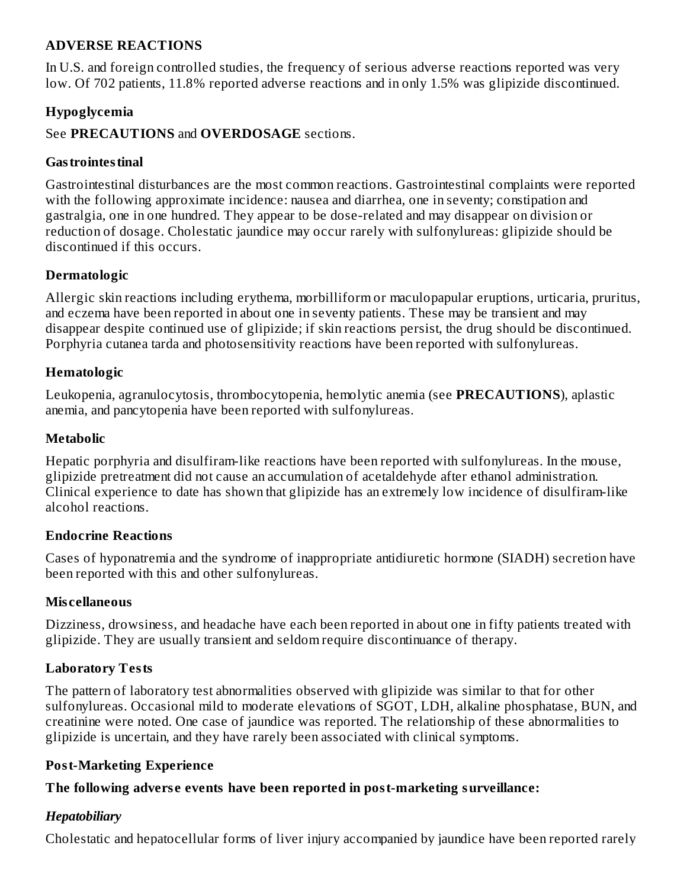#### **ADVERSE REACTIONS**

In U.S. and foreign controlled studies, the frequency of serious adverse reactions reported was very low. Of 702 patients, 11.8% reported adverse reactions and in only 1.5% was glipizide discontinued.

## **Hypoglycemia**

#### See **PRECAUTIONS** and **OVERDOSAGE** sections.

#### **Gastrointestinal**

Gastrointestinal disturbances are the most common reactions. Gastrointestinal complaints were reported with the following approximate incidence: nausea and diarrhea, one in seventy; constipation and gastralgia, one in one hundred. They appear to be dose-related and may disappear on division or reduction of dosage. Cholestatic jaundice may occur rarely with sulfonylureas: glipizide should be discontinued if this occurs.

## **Dermatologic**

Allergic skin reactions including erythema, morbilliform or maculopapular eruptions, urticaria, pruritus, and eczema have been reported in about one in seventy patients. These may be transient and may disappear despite continued use of glipizide; if skin reactions persist, the drug should be discontinued. Porphyria cutanea tarda and photosensitivity reactions have been reported with sulfonylureas.

## **Hematologic**

Leukopenia, agranulocytosis, thrombocytopenia, hemolytic anemia (see **PRECAUTIONS**), aplastic anemia, and pancytopenia have been reported with sulfonylureas.

#### **Metabolic**

Hepatic porphyria and disulfiram-like reactions have been reported with sulfonylureas. In the mouse, glipizide pretreatment did not cause an accumulation of acetaldehyde after ethanol administration. Clinical experience to date has shown that glipizide has an extremely low incidence of disulfiram-like alcohol reactions.

## **Endocrine Reactions**

Cases of hyponatremia and the syndrome of inappropriate antidiuretic hormone (SIADH) secretion have been reported with this and other sulfonylureas.

## **Mis cellaneous**

Dizziness, drowsiness, and headache have each been reported in about one in fifty patients treated with glipizide. They are usually transient and seldom require discontinuance of therapy.

## **Laboratory Tests**

The pattern of laboratory test abnormalities observed with glipizide was similar to that for other sulfonylureas. Occasional mild to moderate elevations of SGOT, LDH, alkaline phosphatase, BUN, and creatinine were noted. One case of jaundice was reported. The relationship of these abnormalities to glipizide is uncertain, and they have rarely been associated with clinical symptoms.

## **Post-Marketing Experience**

## **The following advers e events have been reported in post-marketing surveillance:**

## *Hepatobiliary*

Cholestatic and hepatocellular forms of liver injury accompanied by jaundice have been reported rarely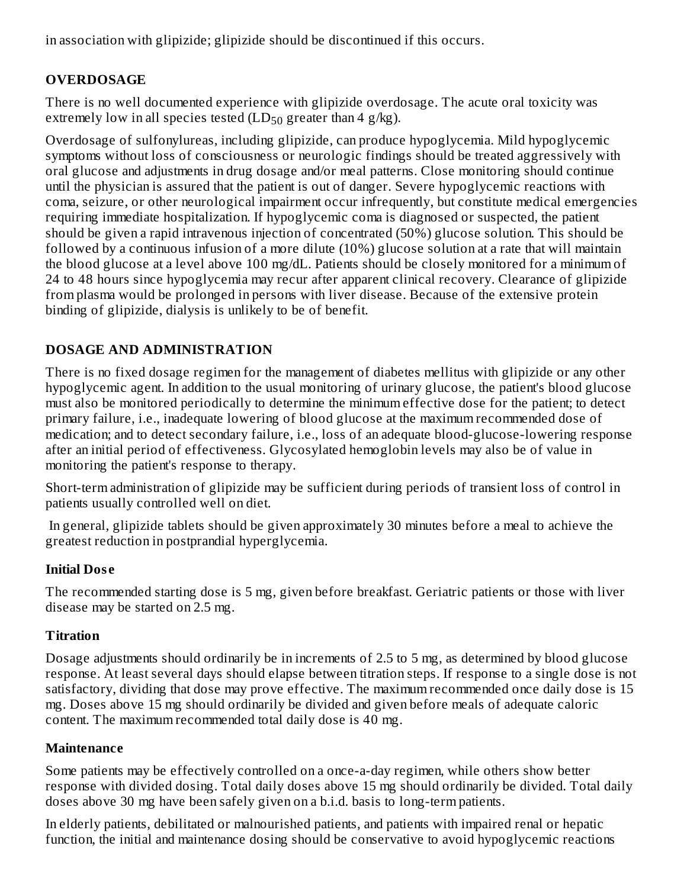in association with glipizide; glipizide should be discontinued if this occurs.

# **OVERDOSAGE**

There is no well documented experience with glipizide overdosage. The acute oral toxicity was extremely low in all species tested (LD $_{50}$  greater than 4 g/kg).

Overdosage of sulfonylureas, including glipizide, can produce hypoglycemia. Mild hypoglycemic symptoms without loss of consciousness or neurologic findings should be treated aggressively with oral glucose and adjustments in drug dosage and/or meal patterns. Close monitoring should continue until the physician is assured that the patient is out of danger. Severe hypoglycemic reactions with coma, seizure, or other neurological impairment occur infrequently, but constitute medical emergencies requiring immediate hospitalization. If hypoglycemic coma is diagnosed or suspected, the patient should be given a rapid intravenous injection of concentrated (50%) glucose solution. This should be followed by a continuous infusion of a more dilute (10%) glucose solution at a rate that will maintain the blood glucose at a level above 100 mg/dL. Patients should be closely monitored for a minimum of 24 to 48 hours since hypoglycemia may recur after apparent clinical recovery. Clearance of glipizide from plasma would be prolonged in persons with liver disease. Because of the extensive protein binding of glipizide, dialysis is unlikely to be of benefit.

# **DOSAGE AND ADMINISTRATION**

There is no fixed dosage regimen for the management of diabetes mellitus with glipizide or any other hypoglycemic agent. In addition to the usual monitoring of urinary glucose, the patient's blood glucose must also be monitored periodically to determine the minimum effective dose for the patient; to detect primary failure, i.e., inadequate lowering of blood glucose at the maximum recommended dose of medication; and to detect secondary failure, i.e., loss of an adequate blood-glucose-lowering response after an initial period of effectiveness. Glycosylated hemoglobin levels may also be of value in monitoring the patient's response to therapy.

Short-term administration of glipizide may be sufficient during periods of transient loss of control in patients usually controlled well on diet.

In general, glipizide tablets should be given approximately 30 minutes before a meal to achieve the greatest reduction in postprandial hyperglycemia.

## **Initial Dos e**

The recommended starting dose is 5 mg, given before breakfast. Geriatric patients or those with liver disease may be started on 2.5 mg.

## **Titration**

Dosage adjustments should ordinarily be in increments of 2.5 to 5 mg, as determined by blood glucose response. At least several days should elapse between titration steps. If response to a single dose is not satisfactory, dividing that dose may prove effective. The maximum recommended once daily dose is 15 mg. Doses above 15 mg should ordinarily be divided and given before meals of adequate caloric content. The maximum recommended total daily dose is 40 mg.

## **Maintenance**

Some patients may be effectively controlled on a once-a-day regimen, while others show better response with divided dosing. Total daily doses above 15 mg should ordinarily be divided. Total daily doses above 30 mg have been safely given on a b.i.d. basis to long-term patients.

In elderly patients, debilitated or malnourished patients, and patients with impaired renal or hepatic function, the initial and maintenance dosing should be conservative to avoid hypoglycemic reactions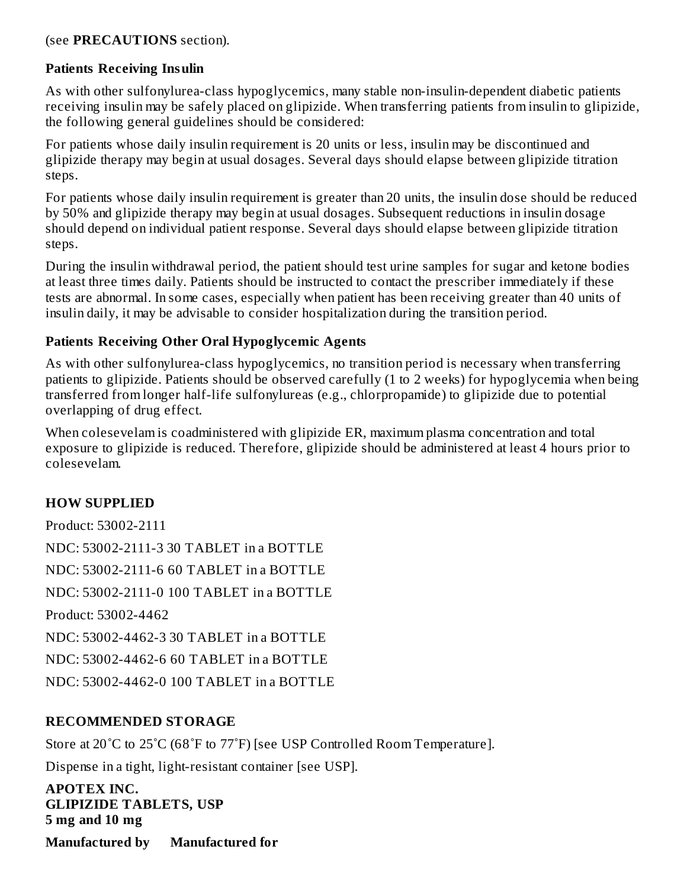## (see **PRECAUTIONS** section).

#### **Patients Receiving Insulin**

As with other sulfonylurea-class hypoglycemics, many stable non-insulin-dependent diabetic patients receiving insulin may be safely placed on glipizide. When transferring patients from insulin to glipizide, the following general guidelines should be considered:

For patients whose daily insulin requirement is 20 units or less, insulin may be discontinued and glipizide therapy may begin at usual dosages. Several days should elapse between glipizide titration steps.

For patients whose daily insulin requirement is greater than 20 units, the insulin dose should be reduced by 50% and glipizide therapy may begin at usual dosages. Subsequent reductions in insulin dosage should depend on individual patient response. Several days should elapse between glipizide titration steps.

During the insulin withdrawal period, the patient should test urine samples for sugar and ketone bodies at least three times daily. Patients should be instructed to contact the prescriber immediately if these tests are abnormal. In some cases, especially when patient has been receiving greater than 40 units of insulin daily, it may be advisable to consider hospitalization during the transition period.

#### **Patients Receiving Other Oral Hypoglycemic Agents**

As with other sulfonylurea-class hypoglycemics, no transition period is necessary when transferring patients to glipizide. Patients should be observed carefully (1 to 2 weeks) for hypoglycemia when being transferred from longer half-life sulfonylureas (e.g., chlorpropamide) to glipizide due to potential overlapping of drug effect.

When colesevelam is coadministered with glipizide ER, maximum plasma concentration and total exposure to glipizide is reduced. Therefore, glipizide should be administered at least 4 hours prior to colesevelam.

#### **HOW SUPPLIED**

Product: 53002-2111 NDC: 53002-2111-3 30 TABLET in a BOTTLE NDC: 53002-2111-6 60 TABLET in a BOTTLE NDC: 53002-2111-0 100 TABLET in a BOTTLE Product: 53002-4462 NDC: 53002-4462-3 30 TABLET in a BOTTLE NDC: 53002-4462-6 60 TABLET in a BOTTLE NDC: 53002-4462-0 100 TABLET in a BOTTLE

## **RECOMMENDED STORAGE**

Store at 20˚C to 25˚C (68˚F to 77˚F) [see USP Controlled Room Temperature].

Dispense in a tight, light-resistant container [see USP].

**APOTEX INC. GLIPIZIDE TABLETS, USP 5 mg and 10 mg**

**Manufactured by Manufactured for**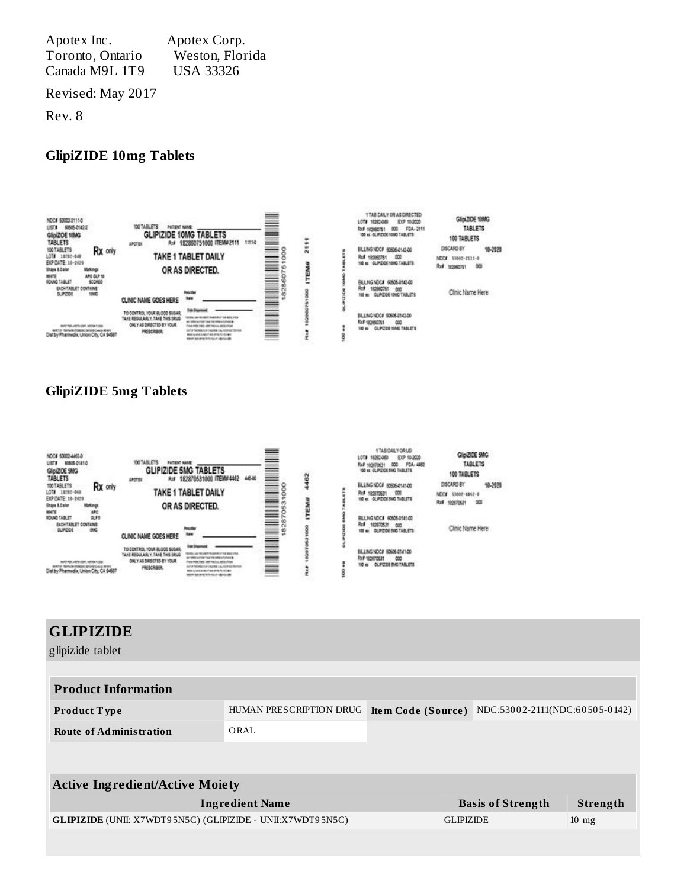Apotex Inc. Apotex Corp. Toronto, Ontario Weston, Florida Canada M9L 1T9 USA 33326

Revised: May 2017

Rev. 8

#### **GlipiZIDE 10mg Tablets**



#### **GlipiZIDE 5mg Tablets**



| <b>GLIPIZIDE</b>                                                  |                         |                    |                  |                                |                 |
|-------------------------------------------------------------------|-------------------------|--------------------|------------------|--------------------------------|-----------------|
| glipizide tablet                                                  |                         |                    |                  |                                |                 |
|                                                                   |                         |                    |                  |                                |                 |
|                                                                   |                         |                    |                  |                                |                 |
| <b>Product Information</b>                                        |                         |                    |                  |                                |                 |
| <b>Product Type</b>                                               | HUMAN PRESCRIPTION DRUG | Item Code (Source) |                  | NDC:53002-2111(NDC:60505-0142) |                 |
| <b>Route of Administration</b>                                    | ORAL                    |                    |                  |                                |                 |
|                                                                   |                         |                    |                  |                                |                 |
|                                                                   |                         |                    |                  |                                |                 |
| <b>Active Ingredient/Active Moiety</b>                            |                         |                    |                  |                                |                 |
|                                                                   | <b>Ingredient Name</b>  |                    |                  | <b>Basis of Strength</b>       | Strength        |
| <b>GLIPIZIDE</b> (UNII: X7WDT95N5C) (GLIPIZIDE - UNII:X7WDT95N5C) |                         |                    | <b>GLIPIZIDE</b> |                                | $10 \text{ mg}$ |
|                                                                   |                         |                    |                  |                                |                 |
|                                                                   |                         |                    |                  |                                |                 |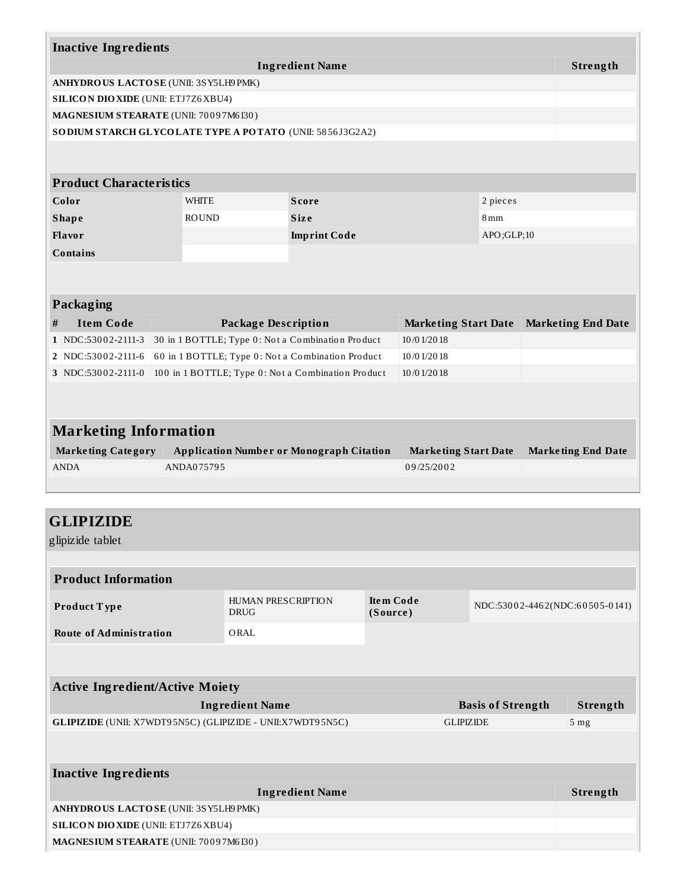| <b>Inactive Ingredients</b>                                              |                                       |                                                           |                             |                                                          |                           |
|--------------------------------------------------------------------------|---------------------------------------|-----------------------------------------------------------|-----------------------------|----------------------------------------------------------|---------------------------|
| <b>Ingredient Name</b>                                                   |                                       |                                                           |                             |                                                          | Strength                  |
|                                                                          | ANHYDROUS LACTOSE (UNII: 3SY5LH9 PMK) |                                                           |                             |                                                          |                           |
| <b>SILICON DIO XIDE (UNII: ETJ7Z6 XBU4)</b>                              |                                       |                                                           |                             |                                                          |                           |
|                                                                          | MAGNESIUM STEARATE (UNII: 70097M6I30) |                                                           |                             |                                                          |                           |
|                                                                          |                                       | SO DIUM STARCH GLYCOLATE TYPE A POTATO (UNII: 5856J3G2A2) |                             |                                                          |                           |
|                                                                          |                                       |                                                           |                             |                                                          |                           |
| <b>Product Characteristics</b>                                           |                                       |                                                           |                             |                                                          |                           |
| Color                                                                    | <b>WHITE</b>                          | <b>Score</b>                                              |                             | 2 pieces                                                 |                           |
| <b>Shape</b>                                                             | <b>ROUND</b>                          | <b>Size</b>                                               |                             | $8 \,\mathrm{mm}$                                        |                           |
| Flavor                                                                   |                                       | <b>Imprint Code</b>                                       |                             | APO;GLP;10                                               |                           |
| <b>Contains</b>                                                          |                                       |                                                           |                             |                                                          |                           |
|                                                                          |                                       |                                                           |                             |                                                          |                           |
|                                                                          |                                       |                                                           |                             |                                                          |                           |
| Packaging                                                                |                                       |                                                           |                             |                                                          |                           |
| <b>Item Code</b><br>#                                                    |                                       | <b>Package Description</b>                                | <b>Marketing Start Date</b> |                                                          | <b>Marketing End Date</b> |
| 1 NDC:53002-2111-3                                                       |                                       | 30 in 1 BOTTLE; Type 0: Not a Combination Product         | 10/01/2018                  |                                                          |                           |
| 2 NDC:53002-2111-6                                                       |                                       | 60 in 1 BOTTLE; Type 0: Not a Combination Product         | 10/01/2018                  |                                                          |                           |
| 3 NDC:53002-2111-0<br>100 in 1 BOTTLE; Type 0: Not a Combination Product |                                       |                                                           | 10/01/2018                  |                                                          |                           |
|                                                                          |                                       |                                                           |                             |                                                          |                           |
|                                                                          |                                       |                                                           |                             |                                                          |                           |
| <b>Marketing Information</b>                                             |                                       |                                                           |                             |                                                          |                           |
| <b>Marketing Category</b>                                                |                                       | <b>Application Number or Monograph Citation</b>           |                             | <b>Marketing Start Date</b><br><b>Marketing End Date</b> |                           |
| <b>ANDA</b><br>ANDA075795                                                |                                       |                                                           | 09/25/2002                  |                                                          |                           |
|                                                                          |                                       |                                                           |                             |                                                          |                           |
|                                                                          |                                       |                                                           |                             |                                                          |                           |
| <b>GLIPIZIDE</b>                                                         |                                       |                                                           |                             |                                                          |                           |
| glipizide tablet                                                         |                                       |                                                           |                             |                                                          |                           |
|                                                                          |                                       |                                                           |                             |                                                          |                           |
|                                                                          |                                       |                                                           |                             |                                                          |                           |

| <b>Product Information</b> |                            |                       |                                |
|----------------------------|----------------------------|-----------------------|--------------------------------|
| Product Type               | HUMAN PRESCRIPTION<br>DRUG | Item Code<br>(Source) | NDC:53002-4462(NDC:60505-0141) |
| Route of Administration    | ORAL                       |                       |                                |

| <b>Active Ingredient/Active Moiety</b>                            |                          |                 |  |  |
|-------------------------------------------------------------------|--------------------------|-----------------|--|--|
| <b>Ingredient Name</b>                                            | <b>Basis of Strength</b> | <b>Strength</b> |  |  |
| <b>GLIPIZIDE</b> (UNII: X7WDT95N5C) (GLIPIZIDE - UNII:X7WDT95N5C) | <b>GLIPIZIDE</b>         | 5 <sub>mg</sub> |  |  |
|                                                                   |                          |                 |  |  |
| <b>Inactive Ingredients</b>                                       |                          |                 |  |  |
| <b>Ingredient Name</b>                                            |                          | Strength        |  |  |
| ANHYDROUS LACTOSE (UNII: 3SY5LH9PMK)                              |                          |                 |  |  |
| <b>SILICON DIO XIDE (UNII: ETJ7Z6XBU4)</b>                        |                          |                 |  |  |
| <b>MAGNESIUM STEARATE (UNII: 70097M6I30)</b>                      |                          |                 |  |  |